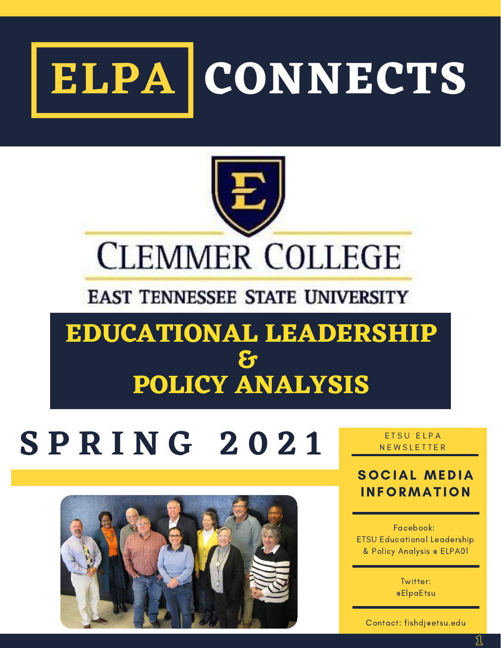



# **CLEMMER COLLEGE**

# **EAST TENNESSEE STATE UNIVERSITY**

# **EDUCATIONAL LEADERSHIP & POLICY ANALYSIS**

# $S$  **P R I N G** 2021 **RETSU ELPA**



## SOC IAL MEDIA **INFORMATION**

Facebook: ETSU Educational Leadership & Policy Analysis @ ELPA01

> Twitter: @ElpaEtsu

Contact: fishdj@etsu.edu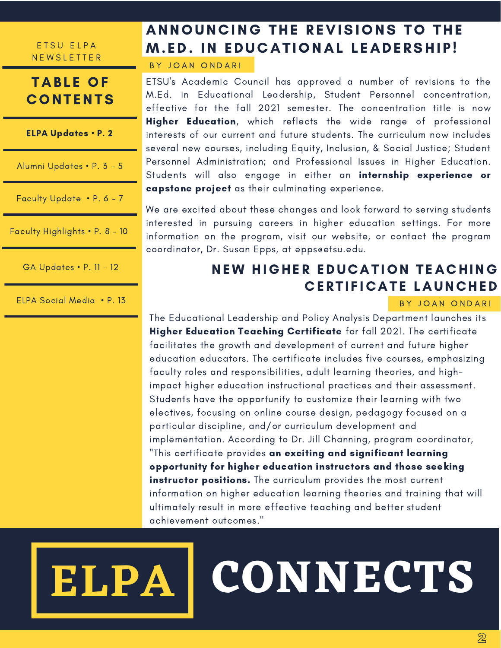### **TABLE OF CONTENTS**

ELPA Updates • P. 2

Alumni Updates • P. 3 - 5

Faculty Update • P. 6 - 7

Faculty Highlights • P. 8 - 10

GA Updates • P. 11 - 12

ELPA Social Media • P. 13

# ANNOUNCING THE REVISIONS TO THE **M.ED. IN EDUCATIONAL LEADERSHIP!**

B Y J O A N O N D A R I

ETSU's Academic Council has approved a number of revisions to the M.Ed. in Educational Leadership, Student Personnel concentration, effective for the fall 2021 semester. The concentration title is now Higher Education, which reflects the wide range of professional interests of our current and future students. The curriculum now includes several new courses, including Equity, Inclusion, & Social Justice; Student Personnel Administration; and Professional Issues in Higher Education. Students will also engage in either an internship experience or capstone project as their culminating experience.

We are excited about these changes and look forward to serving students interested in pursuing careers in higher education settings. For more information on the program, visit our website, or contact the program coordinator, Dr. Susan Epps, at epps@etsu.edu.

## NEW HIGHER EDUCATION TEACHING **CERTIFICATE LAUNCHED**

#### BY JOAN ONDARI

The Educational Leadership and Policy Analysis Department launches its Higher Education Teaching Certificate for fall 2021. The certificate facilitates the growth and development of current and future higher education educators. The certificate includes five courses, emphasizing faculty roles and responsibilities, adult learning theories, and highimpact higher education instructional practices and their assessment. Students have the opportunity to customize their learning with two electives, focusing on online course design, pedagogy focused on a particular discipline, and/or curriculum development and implementation. According to Dr. Jill Channing, program coordinator, "This certificate provides an exciting and significant learning opportunity for higher education instructors and those seeking instructor positions. The curriculum provides the most current information on higher education learning theories and training that will ultimately result in more effective teaching and better student achievement outcomes."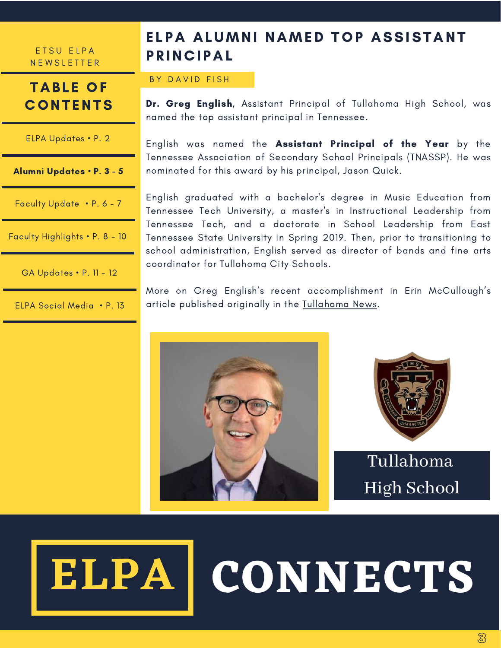E T S U E L P A **NEWSLETTER** 

**CONTENTS** 

ELPA Updates • P. 2

# **TABLE OF PRINCIPAL**

# BY DAVID FISH

ELPA ALUMNI NAMED TOP ASSISTANT

Dr. Greg English, Assistant Principal of Tullahoma High School, was named the top assistant principal in Tennessee.

English was named the Assistant Principal of the Year by the Tennessee Association of Secondary School Principals (TNASSP). He was nominated for this award by his principal, Jason Quick.

English graduated with a bachelor's degree in Music Education from Tennessee Tech University, a master's in Instructional Leadership from Tennessee Tech, and a doctorate in School Leadership from East Tennessee State University in Spring 2019. Then, prior to transitioning to school administration, English served as director of bands and fine arts coordinator for Tullahoma City Schools.

More on Greg English's recent accomplishment in Erin McCullough's article published originally in the [Tullahoma](https://www.tullahomanews.com/news/local/english-named-top-assistant-principal/article_07afef50-4f86-11eb-9ff1-3f9ca6ea8546.html) News.





# **ELPA**

# **CONNECTS**



Alumni Updates • P. 3 - 5

Faculty Update • P. 6 - 7

Faculty Highlights • P. 8 - 10

GA Updates • P. 11 - 12

ELPA Social Media • P. 13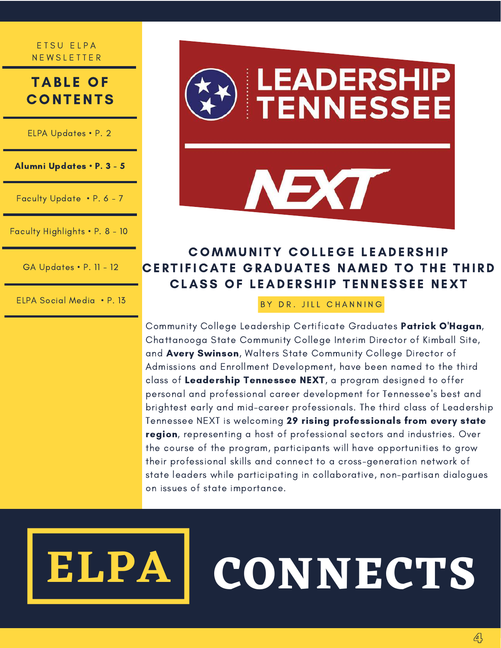### **TABLE OF CONTENTS**

ELPA Updates • P. 2

Alumni Updates • P. 3 - 5

Faculty Update • P. 6 - 7

Faculty Highlights • P. 8 - 10

GA Updates • P. 11 - 12

ELPA Social Media • P. 13



### COMMUNITY COLLEGE LEADERSHIP CERTIFICATE GRADUATES NAMED TO THE THIRD CLASS OF LEADERSHIP TENNESSEE NEXT

BY DR. JILL CHANNING

Community College Leadership Certificate Graduates Patrick O'Hagan, Chattanooga State Community College Interim Director of Kimball Site, and Avery Swinson, Walters State Community College Director of Admissions and Enrollment Development, have been named to the third class of Leadership Tennessee NEXT, a program designed to offer personal and professional career development for Tennessee's best and brightest early and mid-career professionals. The third class of Leadership Tennessee NEXT is welcoming 29 rising professionals from every state region, representing a host of professional sectors and industries. Over the course of the program, participants will have opportunities to grow their professional skills and connect to a cross-generation network of state leaders while participating in collaborative, non-partisan dialogues on issues of state importance.

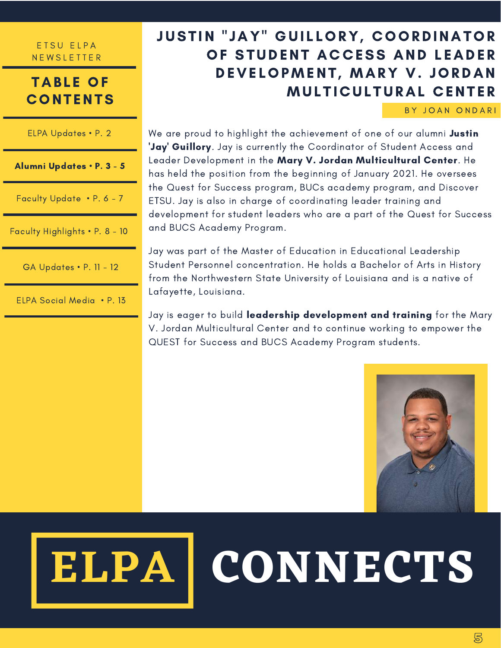### **TABLE OF CONTENTS**

| ELPA Updates • P. 2            | W<br>U,                  |  |
|--------------------------------|--------------------------|--|
| Alumni Updates . P. 3 - 5      | L٤<br>h١                 |  |
| Faculty Update • P. 6 - 7      | tŀ<br>E.<br>$\mathsf{d}$ |  |
| Faculty Highlights . P. 8 - 10 | a                        |  |
| <b>GA Updates • P. 11 - 12</b> | Jc<br>$S^1$<br>fr        |  |
| ELPA Social Media • P. 13      | L٥                       |  |

# JUSTIN "JAY" GUILLORY, COORDINATOR OF STUDENT ACCESS AND LEADER DEVELOPMENT, MARY V. JORDAN **MULTICULTURAL CENTER**

BY JOAN ONDARI

'e are proud to highlight the achievement of one of our alumni Justin ay' Guillory. Jay is currently the Coordinator of Student Access and eader Development in the **Mary V. Jordan Multicultural Center**. He has held the position from the beginning of January 2021. He oversees the Quest for Success program, BUCs academy program, and Discover ETSU. Jay is also in charge of coordinating leader training and evelopment for student leaders who are a part of the Quest for Success nd BUCS Academy Program.

ay was part of the Master of Education in Educational Leadership tudent Personnel concentration. He holds a Bachelor of Arts in History om the Northwestern State University of Louisiana and is a native of Lafayette, Louisiana.

Jay is eager to build leadership development and training for the Mary V. Jordan Multicultural Center and to continue working to empower the QUEST for Success and BUCS Academy Program students.

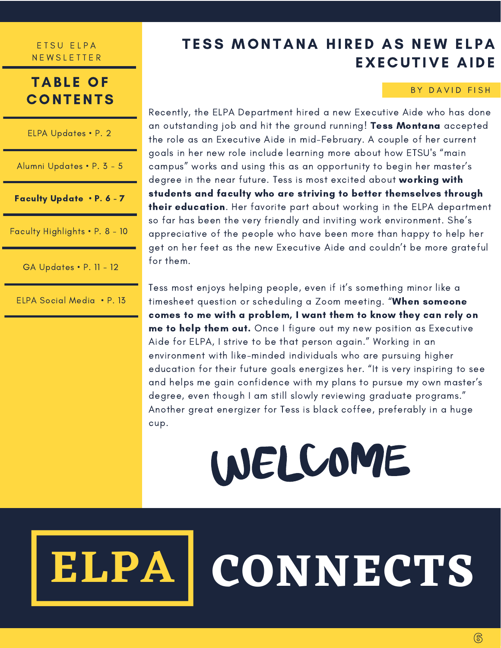### **TABLE OF CONTENTS**

| ELPA Updates • P. 2       |  |  |
|---------------------------|--|--|
| Alumni Updates • P. 3 - 5 |  |  |

Faculty Update • P. 6 - 7

Faculty Highlights • P. 8 - 10

GA Updates • P. 11 - 12

ELPA Social Media • P. 13

# TESS MONTANA HIRED AS NEW ELPA EXECUTIVE AIDE

#### BY DAVID FISH

Recently, the ELPA Department hired a new Executive Aide who has done an outstanding job and hit the ground running! Tess Montana accepted the role as an Executive Aide in mid-February. A couple of her current goals in her new role include learning more about how ETSU's "main campus" works and using this as an opportunity to begin her master's degree in the near future. Tess is most excited about working with students and faculty who are striving to better themselves through their education. Her favorite part about working in the ELPA department so far has been the very friendly and inviting work environment. She's appreciative of the people who have been more than happy to help her get on her feet as the new Executive Aide and couldn't be more grateful for them.

Tess most enjoys helping people, even if it's something minor like a timesheet question or scheduling a Zoom meeting. "When someone comes to me with a problem, I want them to know they can rely on me to help them out. Once I figure out my new position as Executive Aide for ELPA, I strive to be that person again." Working in an environment with like-minded individuals who are pursuing higher education for their future goals energizes her. "It is very inspiring to see and helps me gain confidence with my plans to pursue my own master's degree, even though I am still slowly reviewing graduate programs." Another great energizer for Tess is black coffee, preferably in a huge cup.

WELCOME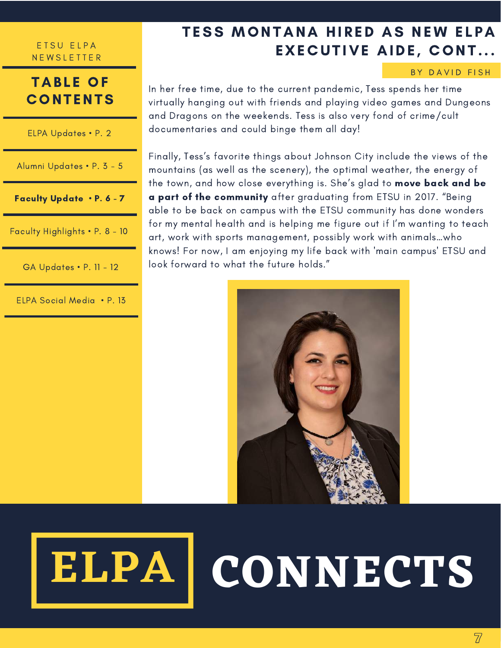### **TABLE OF CONTENTS**

ELPA Updates • P. 2

Alumni Updates • P. 3 - 5

Faculty Update • P. 6 - 7

Faculty Highlights • P. 8 - 10

GA Updates • P. 11 - 12

ELPA Social Media • P. 13

# TESS MONTANA HIRED AS NEW ELPA **EXECUTIVE AIDE, CONT...**

#### BY DAVID FISH

In her free time, due to the current pandemic, Tess spends her time virtually hanging out with friends and playing video games and Dungeons and Dragons on the weekends. Tess is also very fond of crime/cult documentaries and could binge them all day!

Finally, Tess's favorite things about Johnson City include the views of the mountains (as well as the scenery), the optimal weather, the energy of the town, and how close everything is. She's glad to move back and be a part of the community after graduating from ETSU in 2017. "Being able to be back on campus with the ETSU community has done wonders for my mental health and is helping me figure out if I'm wanting to teach art, work with sports management, possibly work with animals…who knows! For now, I am enjoying my life back with 'main campus' ETSU and look forward to what the future holds."



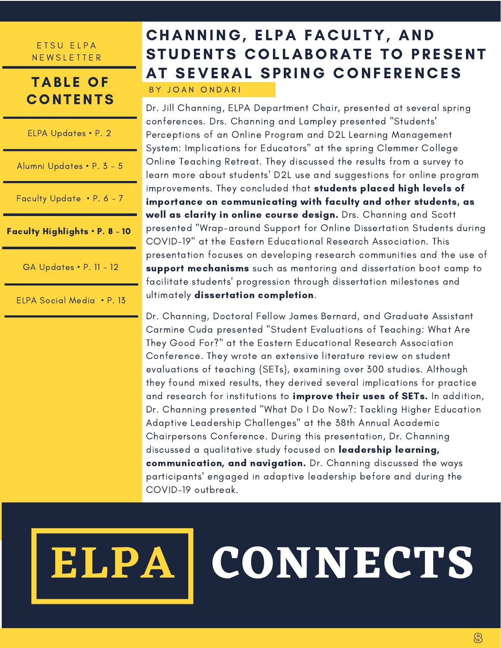## **TABLE OF CONTENTS**

ELPA Updates • P. 2

Alumni Updates • P. 3 - 5

Faculty Update • P. 6 - 7

Faculty Highlights • P. 8 - 10

GA Updates • P. 11 - 12

ELPA Social Media • P. 13

# CHANNING, ELPA FACULTY, AND STUDENTS COLLABORATE TO PRESENT AT SEVERAL SPRING CONFERENCES

BY JOAN ONDARI

Dr. Jill Channing, ELPA Department Chair, presented at several spring conferences. Drs. Channing and Lampley presented "Students' Perceptions of an Online Program and D2L Learning Management System: Implications for Educators" at the spring Clemmer College Online Teaching Retreat. They discussed the results from a survey to learn more about students' D2L use and suggestions for online program improvements. They concluded that students placed high levels of importance on communicating with faculty and other students, as well as clarity in online course design. Drs. Channing and Scott presented "Wrap-around Support for Online Dissertation Students during COVID-19" at the Eastern Educational Research Association. This presentation focuses on developing research communities and the use of support mechanisms such as mentoring and dissertation boot camp to facilitate students' progression through dissertation milestones and ultimately dissertation completion.

Dr. Channing, Doctoral Fellow James Bernard, and Graduate Assistant Carmine Cuda presented "Student Evaluations of Teaching: What Are They Good For?" at the Eastern Educational Research Association Conference. They wrote an extensive literature review on student evaluations of teaching (SETs), examining over 300 studies. Although they found mixed results, they derived several implications for practice and research for institutions to improve their uses of SETs. In addition, Dr. Channing presented "What Do I Do Now?: Tackling Higher Education Adaptive Leadership Challenges" at the 38th Annual Academic Chairpersons Conference. During this presentation, Dr. Channing discussed a qualitative study focused on leadership learning, communication, and navigation. Dr. Channing discussed the ways participants' engaged in adaptive leadership before and during the COVID-19 outbreak.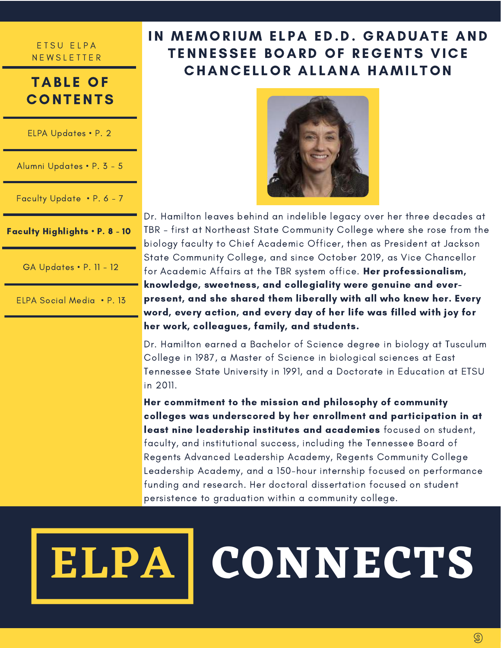## **TABLE OF CONTENTS**

ELPA Updates • P. 2

Alumni Updates • P. 3 - 5

Faculty Update • P. 6 - 7

Faculty Highlights • P. 8 - 10

GA Updates • P. 11 - 12

ELPA Social Media • P. 13

## IN MEMORIUM ELPA ED.D. GRADUATE AND TENNESSEE BOARD OF REGENTS VICE **CHANCELLOR ALLANA HAMILTON**



Dr. Hamilton leaves behind an indelible legacy over her three decades at TBR – first at Northeast State Community College where she rose from the biology faculty to Chief Academic Officer, then as President at Jackson State Community College, and since October 2019, as Vice Chancellor for Academic Affairs at the TBR system office. Her professionalism, knowledge, sweetness, and collegiality were genuine and ever present, and she shared them liberally with all who knew her. Every word, every action, and every day of her life was filled with joy for her work, colleagues, family, and students.

Dr. Hamilton earned a Bachelor of Science degree in biology at Tusculum College in 1987, a Master of Science in biological sciences at East Tennessee State University in 1991, and a Doctorate in Education at ETSU in 2011.

Her commitment to the mission and philosophy of community colleges was underscored by her enrollment and participation in at least nine leadership institutes and academies focused on student, faculty, and institutional success, including the Tennessee Board of Regents Advanced Leadership Academy, Regents Community College Leadership Academy, and a 150-hour internship focused on performance funding and research. Her doctoral dissertation focused on student persistence to graduation within a community college.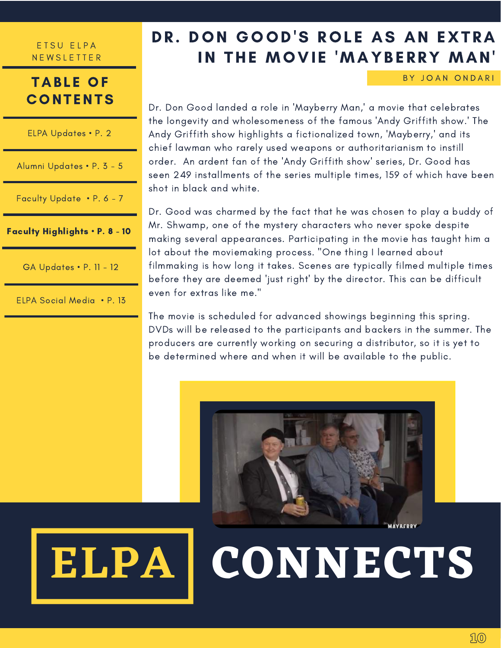### **TABLE OF CONTENTS**

| Faculty Highlights . P. 8 - 10 |
|--------------------------------|
| Faculty Update • P. 6 - 7      |
| Alumni Updates • P. 3 - 5      |
| ELPA Updates • P. 2            |

GA Updates • P. 11 - 12

ELPA Social Media • P. 13

# DR. DON GOOD'S ROLE AS AN EXTRA IN THE MOVIE 'MAYBERRY MAN'

BY JOAN ONDARI

Dr. Don Good landed a role in 'Mayberry Man,' a movie that celebrates the longevity and wholesomeness of the famous 'Andy Griffith show.' The Andy Griffith show highlights a fictionalized town, 'Mayberry,' and its chief lawman who rarely used weapons or authoritarianism to instill order. An ardent fan of the 'Andy Griffith show' series, Dr. Good has seen 249 installments of the series multiple times, 159 of which have been shot in black and white.

Dr. Good was charmed by the fact that he was chosen to play a buddy of Mr. Shwamp, one of the mystery characters who never spoke despite making several appearances. Participating in the movie has taught him a lot about the moviemaking process. "One thing I learned about filmmaking is how long it takes. Scenes are typically filmed multiple times before they are deemed 'just right' by the director. This can be difficult even for extras like me."

The movie is scheduled for advanced showings beginning this spring. DVDs will be released to the participants and backers in the summer. The producers are currently working on securing a distributor, so it is yet to be determined where and when it will be available to the public.

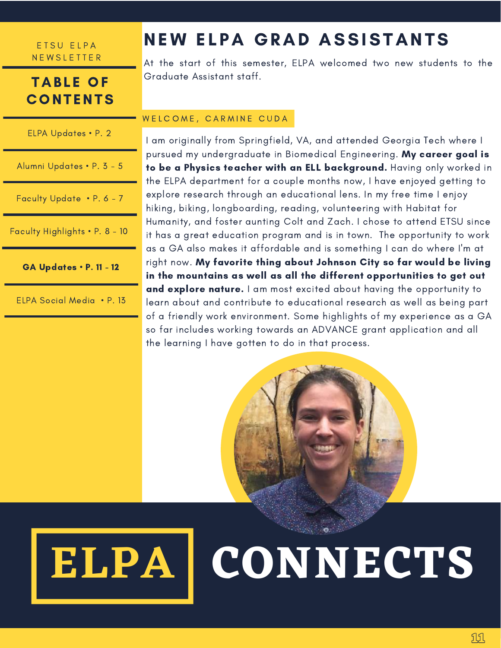### **TABLE OF CONTENTS**

| ELPA Updates • P. 2            |
|--------------------------------|
| Alumni Updates • P. 3 - 5      |
| Faculty Update • P. 6 - 7      |
| Faculty Highlights • P. 8 - 10 |

GA Updates • P. 11 - 12

ELPA Social Media • P. 13

# NEW ELPA GRAD ASSISTANTS

At the start of this semester, ELPA welcomed two new students to the Graduate Assistant staff.

#### WELCOME, CARMINE CUDA

I am originally from Springfield, VA, and attended Georgia Tech where I pursued my undergraduate in Biomedical Engineering. My career goal is to be a Physics teacher with an ELL background. Having only worked in the ELPA department for a couple months now, I have enjoyed getting to explore research through an educational lens. In my free time I enjoy hiking, biking, longboarding, reading, volunteering with Habitat for Humanity, and foster aunting Colt and Zach. I chose to attend ETSU since it has a great education program and is in town. The opportunity to work as a GA also makes it affordable and is something I can do where I'm at right now. My favorite thing about Johnson City so far would be living in the mountains as well as all the different opportunities to get out and explore nature. I am most excited about having the opportunity to learn about and contribute to educational research as well as being part of a friendly work environment. Some highlights of my experience as a GA so far includes working towards an ADVANCE grant application and all the learning I have gotten to do in that process.

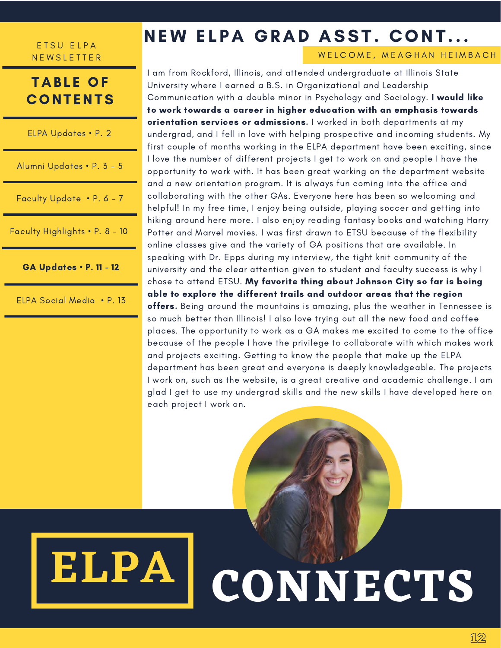### **TABLE OF CONTENTS**

ELPA Updates • P. 2

Alumni Updates • P. 3 - 5

Faculty Update • P. 6 - 7

Faculty Highlights • P. 8 - 10

GA Updates • P. 11 - 12

ELPA Social Media • P. 13

# NEW ELPA GRAD ASST. CONT...

#### WELCOME, MEAGHAN HEIMBACH

I am from Rockford, Illinois, and attended undergraduate at Illinois State University where I earned a B.S. in Organizational and Leadership Communication with a double minor in Psychology and Sociology. I would like to work towards a career in higher education with an emphasis towards orientation services or admissions. I worked in both departments at my undergrad, and I fell in love with helping prospective and incoming students. My first couple of months working in the ELPA department have been exciting, since I love the number of different projects I get to work on and people I have the opportunity to work with. It has been great working on the department website and a new orientation program. It is always fun coming into the office and collaborating with the other GAs. Everyone here has been so welcoming and helpful! In my free time, I enjoy being outside, playing soccer and getting into hiking around here more. I also enjoy reading fantasy books and watching Harry Potter and Marvel movies. I was first drawn to ETSU because of the flexibility online classes give and the variety of GA positions that are available. In speaking with Dr. Epps during my interview, the tight knit community of the university and the clear attention given to student and faculty success is why I chose to attend ETSU. My favorite thing about Johnson City so far is being able to explore the different trails and outdoor areas that the region offers. Being around the mountains is amazing, plus the weather in Tennessee is so much better than Illinois! I also love trying out all the new food and coffee places. The opportunity to work as a GA makes me excited to come to the office because of the people I have the privilege to collaborate with which makes work and projects exciting. Getting to know the people that make up the ELPA department has been great and everyone is deeply knowledgeable. The projects I work on, such as the website, is a great creative and academic challenge. I am glad I get to use my undergrad skills and the new skills I have developed here on each project I work on.

# **CONNECTS ELPA**